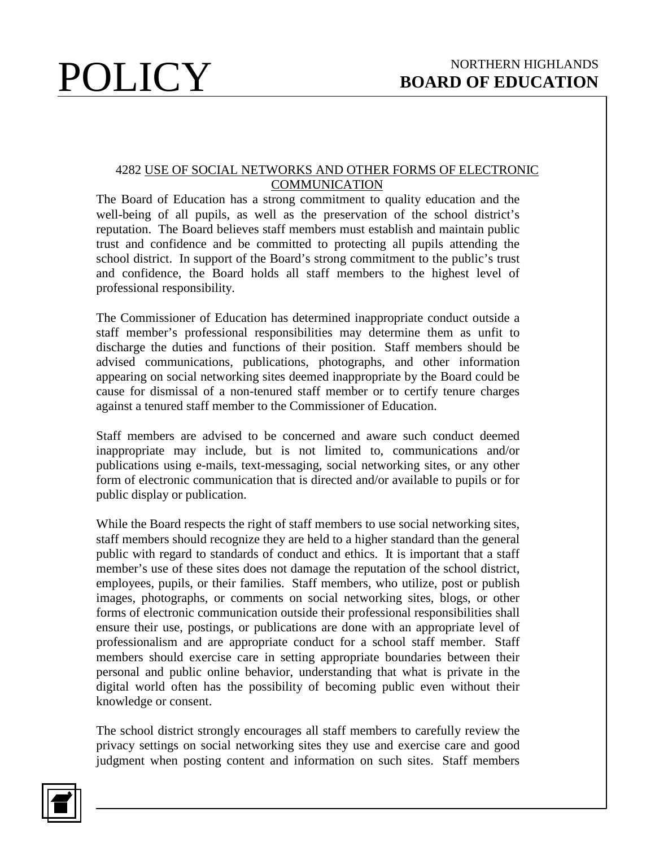## 4282 USE OF SOCIAL NETWORKS AND OTHER FORMS OF ELECTRONIC **COMMUNICATION**

The Board of Education has a strong commitment to quality education and the well-being of all pupils, as well as the preservation of the school district's reputation. The Board believes staff members must establish and maintain public trust and confidence and be committed to protecting all pupils attending the school district. In support of the Board's strong commitment to the public's trust and confidence, the Board holds all staff members to the highest level of professional responsibility.

The Commissioner of Education has determined inappropriate conduct outside a staff member's professional responsibilities may determine them as unfit to discharge the duties and functions of their position. Staff members should be advised communications, publications, photographs, and other information appearing on social networking sites deemed inappropriate by the Board could be cause for dismissal of a non-tenured staff member or to certify tenure charges against a tenured staff member to the Commissioner of Education.

Staff members are advised to be concerned and aware such conduct deemed inappropriate may include, but is not limited to, communications and/or publications using e-mails, text-messaging, social networking sites, or any other form of electronic communication that is directed and/or available to pupils or for public display or publication.

While the Board respects the right of staff members to use social networking sites, staff members should recognize they are held to a higher standard than the general public with regard to standards of conduct and ethics. It is important that a staff member's use of these sites does not damage the reputation of the school district, employees, pupils, or their families. Staff members, who utilize, post or publish images, photographs, or comments on social networking sites, blogs, or other forms of electronic communication outside their professional responsibilities shall ensure their use, postings, or publications are done with an appropriate level of professionalism and are appropriate conduct for a school staff member. Staff members should exercise care in setting appropriate boundaries between their personal and public online behavior, understanding that what is private in the digital world often has the possibility of becoming public even without their knowledge or consent.

The school district strongly encourages all staff members to carefully review the privacy settings on social networking sites they use and exercise care and good judgment when posting content and information on such sites. Staff members

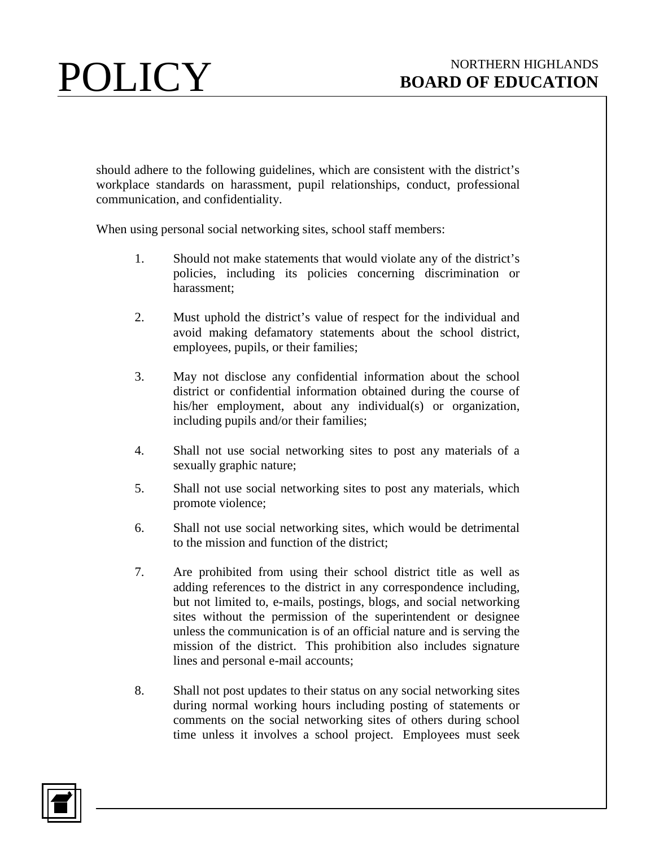should adhere to the following guidelines, which are consistent with the district's workplace standards on harassment, pupil relationships, conduct, professional communication, and confidentiality.

When using personal social networking sites, school staff members:

- 1. Should not make statements that would violate any of the district's policies, including its policies concerning discrimination or harassment;
- 2. Must uphold the district's value of respect for the individual and avoid making defamatory statements about the school district, employees, pupils, or their families;
- 3. May not disclose any confidential information about the school district or confidential information obtained during the course of his/her employment, about any individual(s) or organization, including pupils and/or their families;
- 4. Shall not use social networking sites to post any materials of a sexually graphic nature;
- 5. Shall not use social networking sites to post any materials, which promote violence;
- 6. Shall not use social networking sites, which would be detrimental to the mission and function of the district;
- 7. Are prohibited from using their school district title as well as adding references to the district in any correspondence including, but not limited to, e-mails, postings, blogs, and social networking sites without the permission of the superintendent or designee unless the communication is of an official nature and is serving the mission of the district. This prohibition also includes signature lines and personal e-mail accounts;
- 8. Shall not post updates to their status on any social networking sites during normal working hours including posting of statements or comments on the social networking sites of others during school time unless it involves a school project. Employees must seek

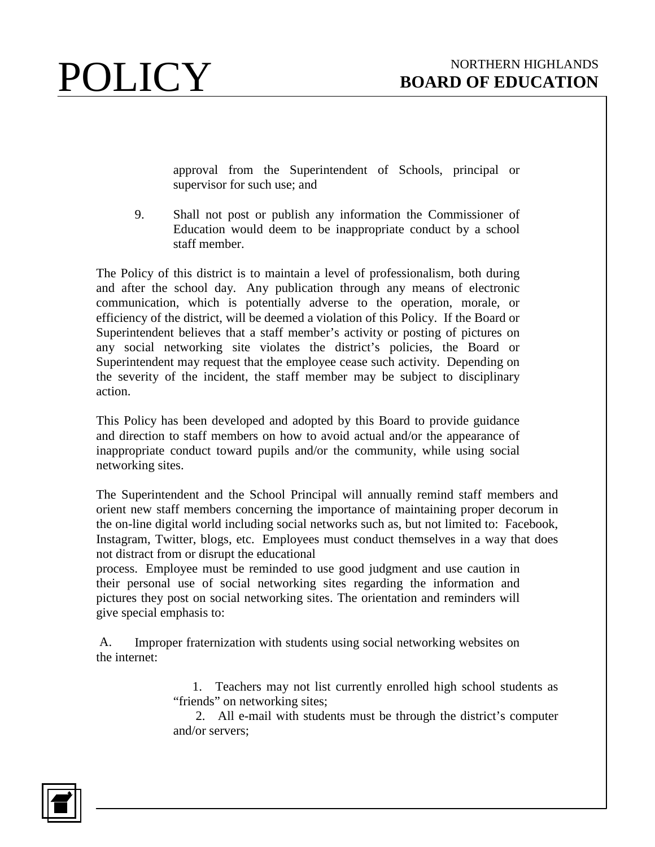

approval from the Superintendent of Schools, principal or supervisor for such use; and

9. Shall not post or publish any information the Commissioner of Education would deem to be inappropriate conduct by a school staff member.

The Policy of this district is to maintain a level of professionalism, both during and after the school day. Any publication through any means of electronic communication, which is potentially adverse to the operation, morale, or efficiency of the district, will be deemed a violation of this Policy. If the Board or Superintendent believes that a staff member's activity or posting of pictures on any social networking site violates the district's policies, the Board or Superintendent may request that the employee cease such activity. Depending on the severity of the incident, the staff member may be subject to disciplinary action.

This Policy has been developed and adopted by this Board to provide guidance and direction to staff members on how to avoid actual and/or the appearance of inappropriate conduct toward pupils and/or the community, while using social networking sites.

The Superintendent and the School Principal will annually remind staff members and orient new staff members concerning the importance of maintaining proper decorum in the on-line digital world including social networks such as, but not limited to: Facebook, Instagram, Twitter, blogs, etc. Employees must conduct themselves in a way that does not distract from or disrupt the educational

process. Employee must be reminded to use good judgment and use caution in their personal use of social networking sites regarding the information and pictures they post on social networking sites. The orientation and reminders will give special emphasis to:

A. Improper fraternization with students using social networking websites on the internet:

> 1. Teachers may not list currently enrolled high school students as "friends" on networking sites;

> 2. All e-mail with students must be through the district's computer and/or servers;

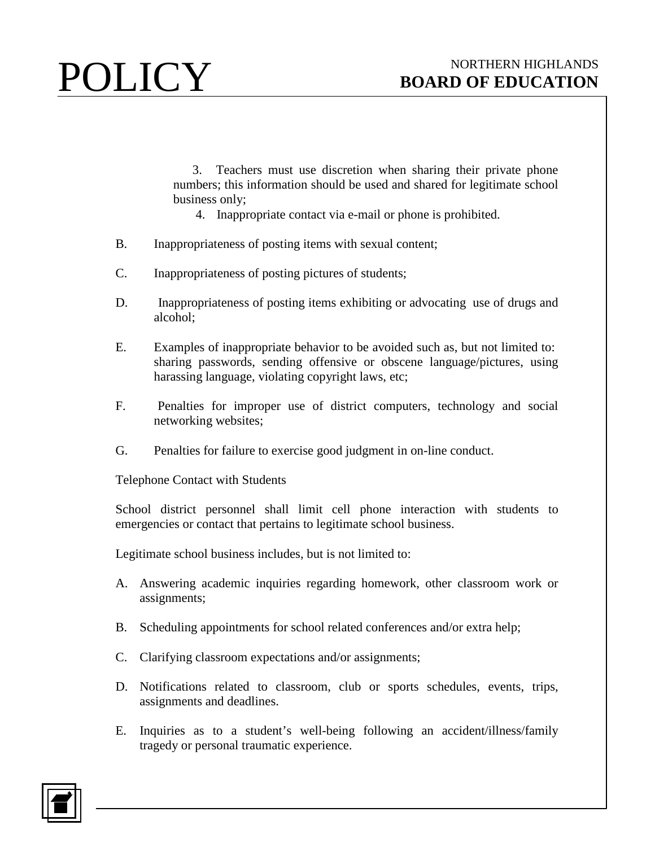3. Teachers must use discretion when sharing their private phone numbers; this information should be used and shared for legitimate school business only;

- 4. Inappropriate contact via e-mail or phone is prohibited.
- B. Inappropriateness of posting items with sexual content;
- C. Inappropriateness of posting pictures of students;
- D. Inappropriateness of posting items exhibiting or advocating use of drugs and alcohol;
- E. Examples of inappropriate behavior to be avoided such as, but not limited to: sharing passwords, sending offensive or obscene language/pictures, using harassing language, violating copyright laws, etc;
- F. Penalties for improper use of district computers, technology and social networking websites;
- G. Penalties for failure to exercise good judgment in on-line conduct.

Telephone Contact with Students

School district personnel shall limit cell phone interaction with students to emergencies or contact that pertains to legitimate school business.

Legitimate school business includes, but is not limited to:

- A. Answering academic inquiries regarding homework, other classroom work or assignments;
- B. Scheduling appointments for school related conferences and/or extra help;
- C. Clarifying classroom expectations and/or assignments;
- D. Notifications related to classroom, club or sports schedules, events, trips, assignments and deadlines.
- E. Inquiries as to a student's well-being following an accident/illness/family tragedy or personal traumatic experience.

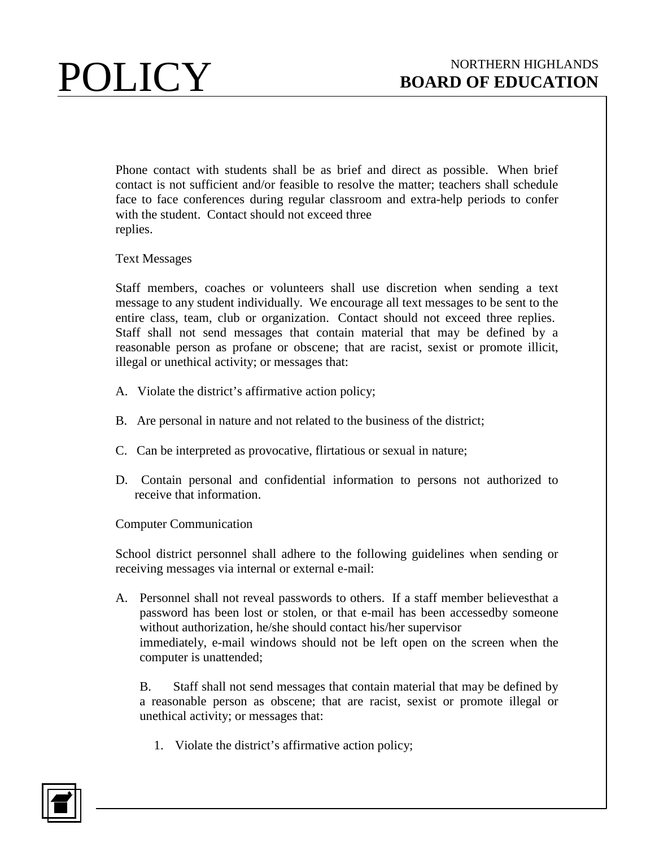Phone contact with students shall be as brief and direct as possible. When brief contact is not sufficient and/or feasible to resolve the matter; teachers shall schedule face to face conferences during regular classroom and extra-help periods to confer with the student. Contact should not exceed three replies.

Text Messages

Staff members, coaches or volunteers shall use discretion when sending a text message to any student individually. We encourage all text messages to be sent to the entire class, team, club or organization. Contact should not exceed three replies. Staff shall not send messages that contain material that may be defined by a reasonable person as profane or obscene; that are racist, sexist or promote illicit, illegal or unethical activity; or messages that:

- A. Violate the district's affirmative action policy;
- B. Are personal in nature and not related to the business of the district;
- C. Can be interpreted as provocative, flirtatious or sexual in nature;
- D. Contain personal and confidential information to persons not authorized to receive that information.

Computer Communication

School district personnel shall adhere to the following guidelines when sending or receiving messages via internal or external e-mail:

A. Personnel shall not reveal passwords to others. If a staff member believesthat a password has been lost or stolen, or that e-mail has been accessedby someone without authorization, he/she should contact his/her supervisor immediately, e-mail windows should not be left open on the screen when the computer is unattended;

B. Staff shall not send messages that contain material that may be defined by a reasonable person as obscene; that are racist, sexist or promote illegal or unethical activity; or messages that:

1. Violate the district's affirmative action policy;

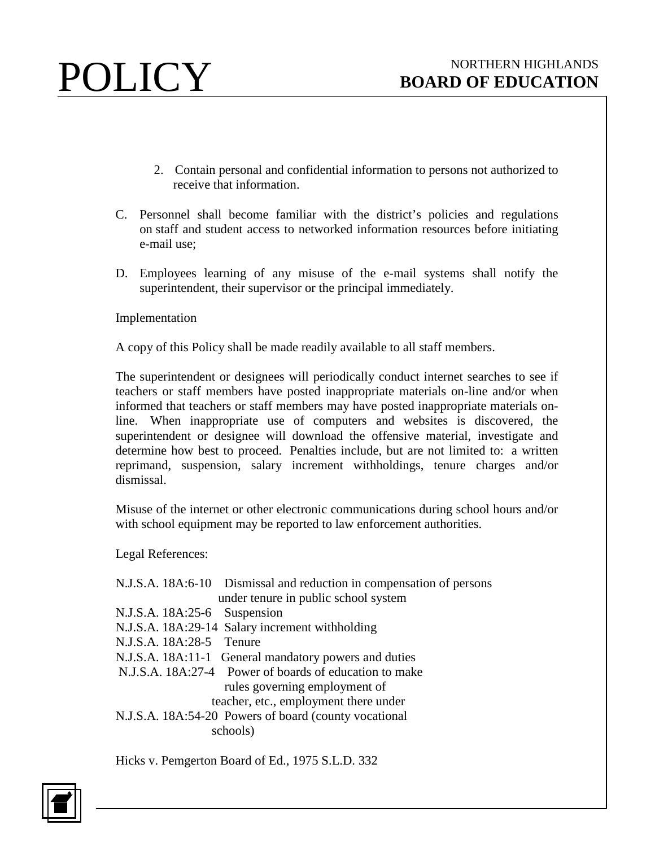- 2. Contain personal and confidential information to persons not authorized to receive that information.
- C. Personnel shall become familiar with the district's policies and regulations on staff and student access to networked information resources before initiating e-mail use;
- D. Employees learning of any misuse of the e-mail systems shall notify the superintendent, their supervisor or the principal immediately.

Implementation

A copy of this Policy shall be made readily available to all staff members.

The superintendent or designees will periodically conduct internet searches to see if teachers or staff members have posted inappropriate materials on-line and/or when informed that teachers or staff members may have posted inappropriate materials online. When inappropriate use of computers and websites is discovered, the superintendent or designee will download the offensive material, investigate and determine how best to proceed. Penalties include, but are not limited to: a written reprimand, suspension, salary increment withholdings, tenure charges and/or dismissal.

Misuse of the internet or other electronic communications during school hours and/or with school equipment may be reported to law enforcement authorities.

Legal References:

| N.J.S.A. 18A:6-10 Dismissal and reduction in compensation of persons |  |
|----------------------------------------------------------------------|--|
| under tenure in public school system                                 |  |
| N.J.S.A. 18A:25-6 Suspension                                         |  |
| N.J.S.A. 18A:29-14 Salary increment withholding                      |  |
| N.J.S.A. 18A:28-5 Tenure                                             |  |
| N.J.S.A. 18A:11-1 General mandatory powers and duties                |  |
| N.J.S.A. 18A:27-4 Power of boards of education to make               |  |
| rules governing employment of                                        |  |
| teacher, etc., employment there under                                |  |
| N.J.S.A. 18A:54-20 Powers of board (county vocational                |  |
| schools)                                                             |  |

Hicks v. Pemgerton Board of Ed., 1975 S.L.D. 332